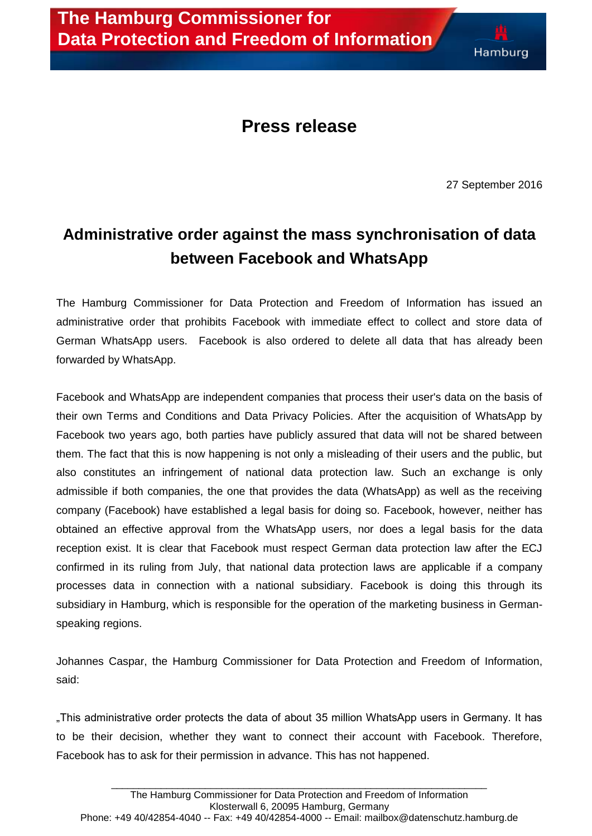## **Press release**

27 September 2016

## **Administrative order against the mass synchronisation of data between Facebook and WhatsApp**

The Hamburg Commissioner for Data Protection and Freedom of Information has issued an administrative order that prohibits Facebook with immediate effect to collect and store data of German WhatsApp users. Facebook is also ordered to delete all data that has already been forwarded by WhatsApp.

Facebook and WhatsApp are independent companies that process their user's data on the basis of their own Terms and Conditions and Data Privacy Policies. After the acquisition of WhatsApp by Facebook two years ago, both parties have publicly assured that data will not be shared between them. The fact that this is now happening is not only a misleading of their users and the public, but also constitutes an infringement of national data protection law. Such an exchange is only admissible if both companies, the one that provides the data (WhatsApp) as well as the receiving company (Facebook) have established a legal basis for doing so. Facebook, however, neither has obtained an effective approval from the WhatsApp users, nor does a legal basis for the data reception exist. It is clear that Facebook must respect German data protection law after the ECJ confirmed in its ruling from July, that national data protection laws are applicable if a company processes data in connection with a national subsidiary. Facebook is doing this through its subsidiary in Hamburg, which is responsible for the operation of the marketing business in Germanspeaking regions.

Johannes Caspar, the Hamburg Commissioner for Data Protection and Freedom of Information, said:

"This administrative order protects the data of about 35 million WhatsApp users in Germany. It has to be their decision, whether they want to connect their account with Facebook. Therefore, Facebook has to ask for their permission in advance. This has not happened.

\_\_\_\_\_\_\_\_\_\_\_\_\_\_\_\_\_\_\_\_\_\_\_\_\_\_\_\_\_\_\_\_\_\_\_\_\_\_\_\_\_\_\_\_\_\_\_\_\_\_\_\_\_\_\_\_\_\_\_\_\_\_\_\_\_\_\_\_